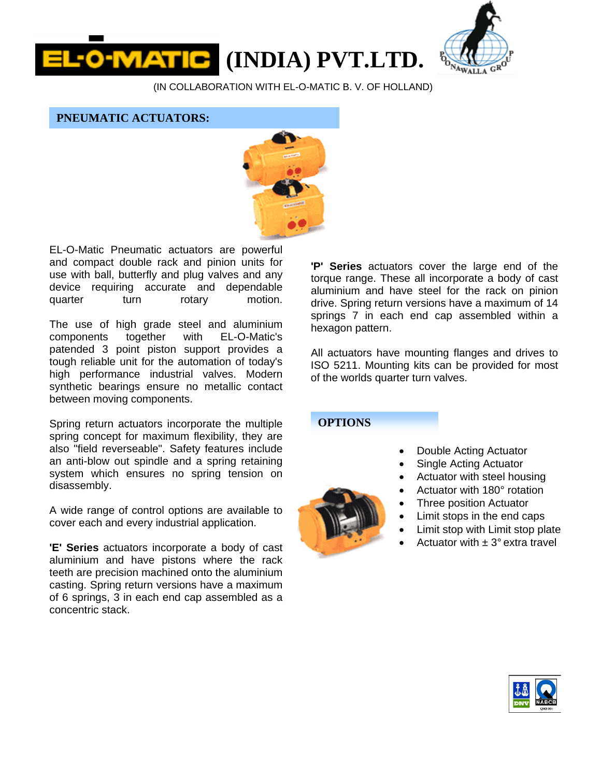**(INDIA) PVT.LTD.** 



(IN COLLABORATION WITH EL-O-MATIC B. V. OF HOLLAND)

**PNEUMATIC ACTUATORS:** 



EL-O-Matic Pneumatic actuators are powerful and compact double rack and pinion units for use with ball, butterfly and plug valves and any device requiring accurate and dependable quarter turn rotary motion.

The use of high grade steel and aluminium components together with EL-O-Matic's patended 3 point piston support provides a tough reliable unit for the automation of today's high performance industrial valves. Modern synthetic bearings ensure no metallic contact between moving components.

Spring return actuators incorporate the multiple spring concept for maximum flexibility, they are also "field reverseable". Safety features include an anti-blow out spindle and a spring retaining system which ensures no spring tension on disassembly.

A wide range of control options are available to cover each and every industrial application.

**'E' Series** actuators incorporate a body of cast aluminium and have pistons where the rack teeth are precision machined onto the aluminium casting. Spring return versions have a maximum of 6 springs, 3 in each end cap assembled as a concentric stack.

**'P' Series** actuators cover the large end of the torque range. These all incorporate a body of cast aluminium and have steel for the rack on pinion drive. Spring return versions have a maximum of 14 springs 7 in each end cap assembled within a hexagon pattern.

All actuators have mounting flanges and drives to ISO 5211. Mounting kits can be provided for most of the worlds quarter turn valves.

## **OPTIONS**

- Double Acting Actuator
- Single Acting Actuator
- Actuator with steel housing
- Actuator with 180° rotation
- Three position Actuator
- Limit stops in the end caps
- Limit stop with Limit stop plate
- Actuator with  $\pm$  3 $^{\circ}$  extra travel